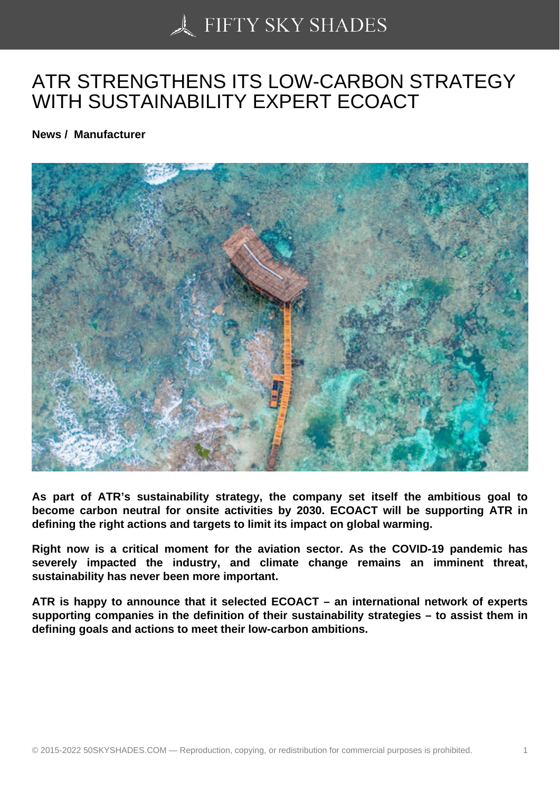## [ATR STRENGTHENS](https://50skyshades.com) ITS LOW-CARBON STRATEGY WITH SUSTAINABILITY EXPERT ECOACT

News / Manufacturer

As part of ATR's sustainability strategy, the company set itself the ambitious goal to become carbon neutral for onsite activities by 2030. ECOACT will be supporting ATR in defining the right actions and targets to limit its impact on global warming.

Right now is a critical moment for the aviation sector. As the COVID-19 pandemic has severely impacted the industry, and climate change remains an imminent threat, sustainability has never been more important.

ATR is happy to announce that it selected ECOACT – an international network of experts supporting companies in the definition of their sustainability strategies – to assist them in defining goals and actions to meet their low-carbon ambitions.